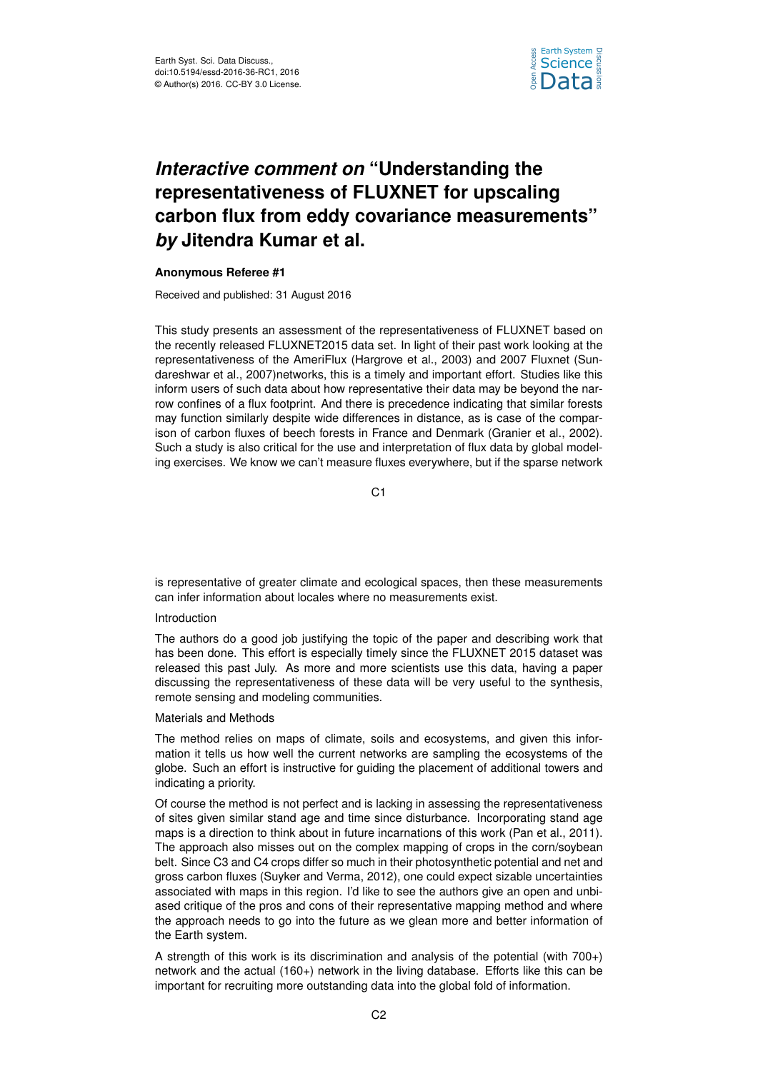

# *Interactive comment on* **"Understanding the representativeness of FLUXNET for upscaling carbon flux from eddy covariance measurements"** *by* **Jitendra Kumar et al.**

## **Anonymous Referee #1**

Received and published: 31 August 2016

This study presents an assessment of the representativeness of FLUXNET based on the recently released FLUXNET2015 data set. In light of their past work looking at the representativeness of the AmeriFlux (Hargrove et al., 2003) and 2007 Fluxnet (Sundareshwar et al., 2007)networks, this is a timely and important effort. Studies like this inform users of such data about how representative their data may be beyond the narrow confines of a flux footprint. And there is precedence indicating that similar forests may function similarly despite wide differences in distance, as is case of the comparison of carbon fluxes of beech forests in France and Denmark (Granier et al., 2002). Such a study is also critical for the use and interpretation of flux data by global modeling exercises. We know we can't measure fluxes everywhere, but if the sparse network

C<sub>1</sub>

is representative of greater climate and ecological spaces, then these measurements can infer information about locales where no measurements exist.

## Introduction

The authors do a good job justifying the topic of the paper and describing work that has been done. This effort is especially timely since the FLUXNET 2015 dataset was released this past July. As more and more scientists use this data, having a paper discussing the representativeness of these data will be very useful to the synthesis, remote sensing and modeling communities.

## Materials and Methods

The method relies on maps of climate, soils and ecosystems, and given this information it tells us how well the current networks are sampling the ecosystems of the globe. Such an effort is instructive for guiding the placement of additional towers and indicating a priority.

Of course the method is not perfect and is lacking in assessing the representativeness of sites given similar stand age and time since disturbance. Incorporating stand age maps is a direction to think about in future incarnations of this work (Pan et al., 2011). The approach also misses out on the complex mapping of crops in the corn/soybean belt. Since C3 and C4 crops differ so much in their photosynthetic potential and net and gross carbon fluxes (Suyker and Verma, 2012), one could expect sizable uncertainties associated with maps in this region. I'd like to see the authors give an open and unbiased critique of the pros and cons of their representative mapping method and where the approach needs to go into the future as we glean more and better information of the Earth system.

A strength of this work is its discrimination and analysis of the potential (with 700+) network and the actual (160+) network in the living database. Efforts like this can be important for recruiting more outstanding data into the global fold of information.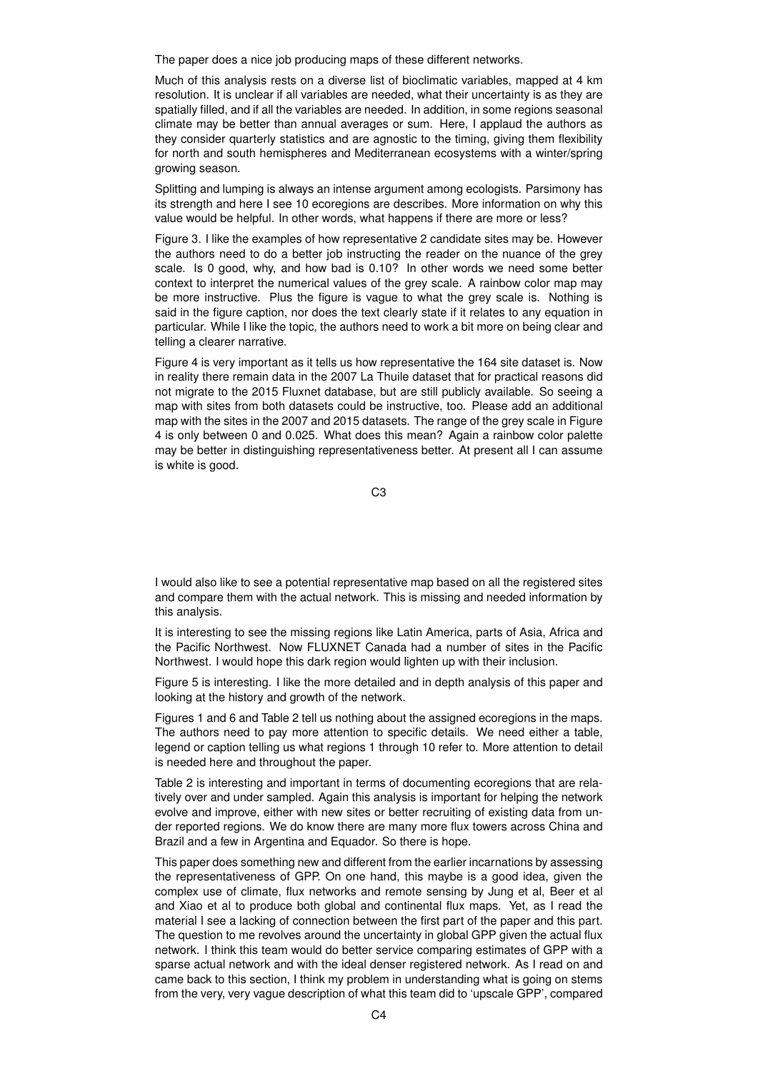The paper does a nice job producing maps of these different networks.

Much of this analysis rests on a diverse list of bioclimatic variables, mapped at 4 km resolution. It is unclear if all variables are needed, what their uncertainty is as they are spatially filled, and if all the variables are needed. In addition, in some regions seasonal climate may be better than annual averages or sum. Here, I applaud the authors as they consider quarterly statistics and are agnostic to the timing, giving them flexibility for north and south hemispheres and Mediterranean ecosystems with a winter/spring growing season.

Splitting and lumping is always an intense argument among ecologists. Parsimony has its strength and here I see 10 ecoregions are describes. More information on why this value would be helpful. In other words, what happens if there are more or less?

Figure 3. I like the examples of how representative 2 candidate sites may be. However the authors need to do a better job instructing the reader on the nuance of the grey scale. Is 0 good, why, and how bad is 0.10? In other words we need some better context to interpret the numerical values of the grey scale. A rainbow color map may be more instructive. Plus the figure is vague to what the grey scale is. Nothing is said in the figure caption, nor does the text clearly state if it relates to any equation in particular. While I like the topic, the authors need to work a bit more on being clear and telling a clearer narrative.

Figure 4 is very important as it tells us how representative the 164 site dataset is. Now in reality there remain data in the 2007 La Thuile dataset that for practical reasons did not migrate to the 2015 Fluxnet database, but are still publicly available. So seeing a map with sites from both datasets could be instructive, too. Please add an additional map with the sites in the 2007 and 2015 datasets. The range of the grey scale in Figure 4 is only between 0 and 0.025. What does this mean? Again a rainbow color palette may be better in distinguishing representativeness better. At present all I can assume is white is good.

C3

I would also like to see a potential representative map based on all the registered sites and compare them with the actual network. This is missing and needed information by this analysis.

It is interesting to see the missing regions like Latin America, parts of Asia, Africa and the Pacific Northwest. Now FLUXNET Canada had a number of sites in the Pacific Northwest. I would hope this dark region would lighten up with their inclusion.

Figure 5 is interesting. I like the more detailed and in depth analysis of this paper and looking at the history and growth of the network.

Figures 1 and 6 and Table 2 tell us nothing about the assigned ecoregions in the maps. The authors need to pay more attention to specific details. We need either a table, legend or caption telling us what regions 1 through 10 refer to. More attention to detail is needed here and throughout the paper.

Table 2 is interesting and important in terms of documenting ecoregions that are relatively over and under sampled. Again this analysis is important for helping the network evolve and improve, either with new sites or better recruiting of existing data from under reported regions. We do know there are many more flux towers across China and Brazil and a few in Argentina and Equador. So there is hope.

This paper does something new and different from the earlier incarnations by assessing the representativeness of GPP. On one hand, this maybe is a good idea, given the complex use of climate, flux networks and remote sensing by Jung et al, Beer et al and Xiao et al to produce both global and continental flux maps. Yet, as I read the material I see a lacking of connection between the first part of the paper and this part. The question to me revolves around the uncertainty in global GPP given the actual flux network. I think this team would do better service comparing estimates of GPP with a sparse actual network and with the ideal denser registered network. As I read on and came back to this section, I think my problem in understanding what is going on stems from the very, very vague description of what this team did to 'upscale GPP', compared